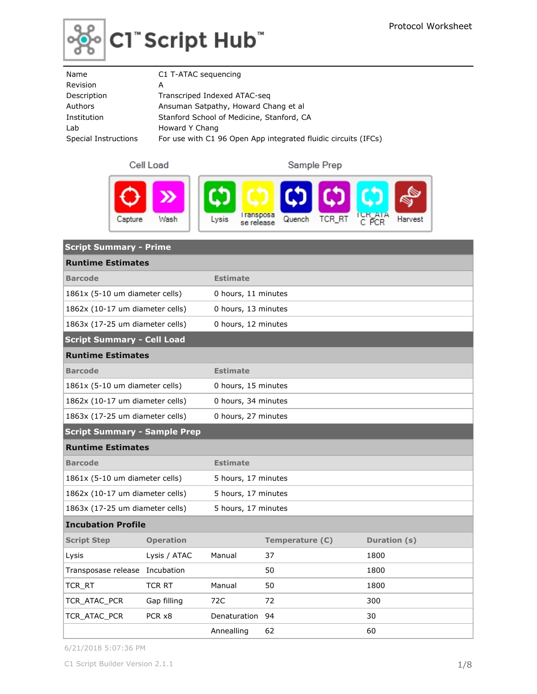

# ္း<br>ဇူး်ဝြ'ံScript Hubଁ

| Name                 | C1 T-ATAC sequencing                                           |
|----------------------|----------------------------------------------------------------|
| Revision             | А                                                              |
| Description          | Transcriped Indexed ATAC-seg                                   |
| Authors              | Ansuman Satpathy, Howard Chang et al                           |
| Institution          | Stanford School of Medicine, Stanford, CA                      |
| Lab                  | Howard Y Chang                                                 |
| Special Instructions | For use with C1 96 Open App integrated fluidic circuits (IFCs) |
|                      |                                                                |

#### Cell Load

Sample Prep



| <b>Script Summary - Prime</b>       |                                 |                     |                 |              |  |  |  |
|-------------------------------------|---------------------------------|---------------------|-----------------|--------------|--|--|--|
| <b>Runtime Estimates</b>            |                                 |                     |                 |              |  |  |  |
| <b>Barcode</b>                      | <b>Estimate</b>                 |                     |                 |              |  |  |  |
| 1861x (5-10 um diameter cells)      |                                 | 0 hours, 11 minutes |                 |              |  |  |  |
| 1862x (10-17 um diameter cells)     |                                 | 0 hours, 13 minutes |                 |              |  |  |  |
| 1863x (17-25 um diameter cells)     |                                 | 0 hours, 12 minutes |                 |              |  |  |  |
| <b>Script Summary - Cell Load</b>   |                                 |                     |                 |              |  |  |  |
| <b>Runtime Estimates</b>            |                                 |                     |                 |              |  |  |  |
| <b>Barcode</b>                      |                                 | <b>Estimate</b>     |                 |              |  |  |  |
| 1861x (5-10 um diameter cells)      |                                 | 0 hours, 15 minutes |                 |              |  |  |  |
| 1862x (10-17 um diameter cells)     |                                 | 0 hours, 34 minutes |                 |              |  |  |  |
| 1863x (17-25 um diameter cells)     |                                 | 0 hours, 27 minutes |                 |              |  |  |  |
| <b>Script Summary - Sample Prep</b> |                                 |                     |                 |              |  |  |  |
| <b>Runtime Estimates</b>            |                                 |                     |                 |              |  |  |  |
| <b>Barcode</b>                      |                                 | <b>Estimate</b>     |                 |              |  |  |  |
| 1861x (5-10 um diameter cells)      |                                 | 5 hours, 17 minutes |                 |              |  |  |  |
| 1862x (10-17 um diameter cells)     |                                 | 5 hours, 17 minutes |                 |              |  |  |  |
| 1863x (17-25 um diameter cells)     |                                 | 5 hours, 17 minutes |                 |              |  |  |  |
| <b>Incubation Profile</b>           |                                 |                     |                 |              |  |  |  |
| <b>Script Step</b>                  | <b>Operation</b>                |                     | Temperature (C) | Duration (s) |  |  |  |
| Lysis                               | Lysis / ATAC                    | Manual              | 37              | 1800         |  |  |  |
| Transposase release Incubation      |                                 |                     | 50              | 1800         |  |  |  |
| TCR_RT                              | <b>TCR RT</b>                   | Manual              | 50              | 1800         |  |  |  |
| TCR_ATAC_PCR                        | Gap filling                     | 72C                 | 72              | 300          |  |  |  |
| TCR_ATAC_PCR                        | PCR x8<br>Denaturation 94<br>30 |                     |                 |              |  |  |  |
|                                     |                                 | Annealling          | 62              | 60           |  |  |  |

6/21/2018 5:07:36 PM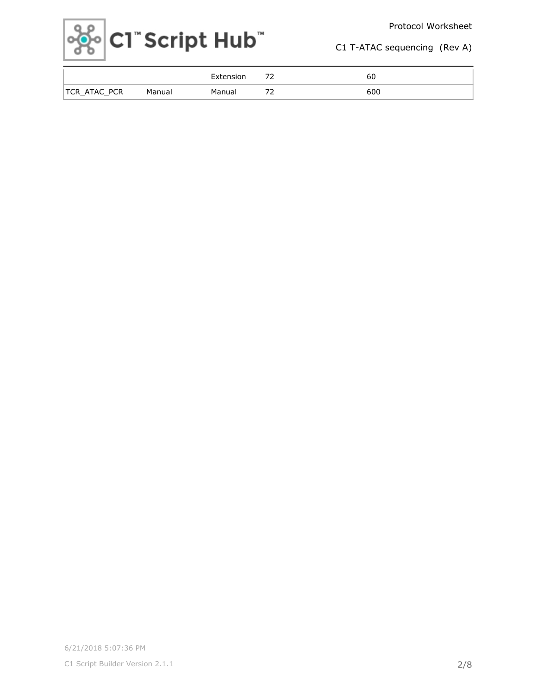Protocol Worksheet



C1 T-ATAC sequencing (Rev A)

|              |        | Extension | ьι  |
|--------------|--------|-----------|-----|
| TCR_ATAC_PCR | Manual | Manual    | 600 |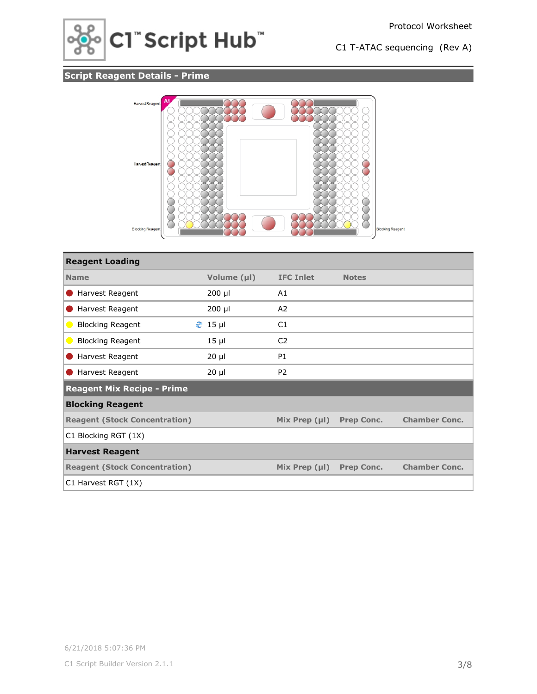

## **Script Reagent Details - Prime**



| <b>Reagent Loading</b>               |             |                    |                   |                      |
|--------------------------------------|-------------|--------------------|-------------------|----------------------|
| <b>Name</b>                          | Volume (µl) | <b>IFC Inlet</b>   | <b>Notes</b>      |                      |
| Harvest Reagent                      | 200 µl      | A1                 |                   |                      |
| Harvest Reagent                      | $200$ µl    | A2                 |                   |                      |
| <b>Blocking Reagent</b><br>$\bullet$ | $2$ 15 µl   | C1                 |                   |                      |
| <b>Blocking Reagent</b><br>$\bullet$ | $15 \mu$    | C <sub>2</sub>     |                   |                      |
| Harvest Reagent                      | $20 \mu$    | <b>P1</b>          |                   |                      |
| Harvest Reagent                      | $20 \mu$    | P <sub>2</sub>     |                   |                      |
| <b>Reagent Mix Recipe - Prime</b>    |             |                    |                   |                      |
| <b>Blocking Reagent</b>              |             |                    |                   |                      |
| <b>Reagent (Stock Concentration)</b> |             | Mix Prep $(\mu I)$ | <b>Prep Conc.</b> | <b>Chamber Conc.</b> |
| C1 Blocking RGT (1X)                 |             |                    |                   |                      |
| <b>Harvest Reagent</b>               |             |                    |                   |                      |
| <b>Reagent (Stock Concentration)</b> |             | Mix Prep $(\mu I)$ | <b>Prep Conc.</b> | <b>Chamber Conc.</b> |
| C1 Harvest RGT (1X)                  |             |                    |                   |                      |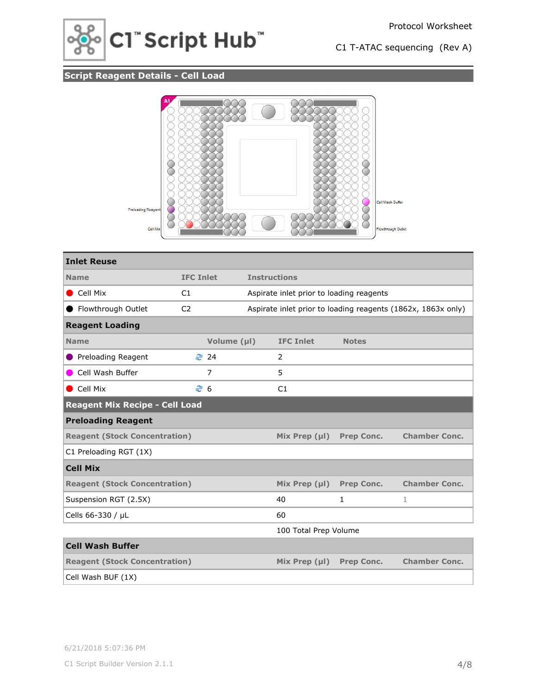

## **Script Reagent Details - Cell Load**



| <b>Inlet Reuse</b>                    |                  |             |                     |                                                              |                   |                      |  |
|---------------------------------------|------------------|-------------|---------------------|--------------------------------------------------------------|-------------------|----------------------|--|
| <b>Name</b>                           | <b>IFC Inlet</b> |             | <b>Instructions</b> |                                                              |                   |                      |  |
| Cell Mix                              | C1               |             |                     | Aspirate inlet prior to loading reagents                     |                   |                      |  |
| Flowthrough Outlet                    | C <sub>2</sub>   |             |                     | Aspirate inlet prior to loading reagents (1862x, 1863x only) |                   |                      |  |
| <b>Reagent Loading</b>                |                  |             |                     |                                                              |                   |                      |  |
| <b>Name</b>                           |                  | Volume (µl) |                     | <b>IFC Inlet</b>                                             | <b>Notes</b>      |                      |  |
| Preloading Reagent                    |                  | ₹ 24        |                     | 2                                                            |                   |                      |  |
| Cell Wash Buffer                      |                  | 7           |                     | 5                                                            |                   |                      |  |
| Cell Mix                              |                  | <b></b> ි 6 |                     | C1                                                           |                   |                      |  |
| <b>Reagent Mix Recipe - Cell Load</b> |                  |             |                     |                                                              |                   |                      |  |
| <b>Preloading Reagent</b>             |                  |             |                     |                                                              |                   |                      |  |
| <b>Reagent (Stock Concentration)</b>  |                  |             |                     | Mix Prep $(\mu I)$                                           | <b>Prep Conc.</b> | <b>Chamber Conc.</b> |  |
| C1 Preloading RGT (1X)                |                  |             |                     |                                                              |                   |                      |  |
| <b>Cell Mix</b>                       |                  |             |                     |                                                              |                   |                      |  |
| <b>Reagent (Stock Concentration)</b>  |                  |             |                     | Mix Prep $(\mu I)$                                           | <b>Prep Conc.</b> | <b>Chamber Conc.</b> |  |
| Suspension RGT (2.5X)                 |                  |             |                     | 40                                                           | $\mathbf{1}$      | 1                    |  |
| Cells 66-330 / µL                     |                  |             |                     | 60                                                           |                   |                      |  |
| 100 Total Prep Volume                 |                  |             |                     |                                                              |                   |                      |  |
| <b>Cell Wash Buffer</b>               |                  |             |                     |                                                              |                   |                      |  |
| <b>Reagent (Stock Concentration)</b>  |                  |             |                     | Mix Prep $(\mu I)$                                           | <b>Prep Conc.</b> | <b>Chamber Conc.</b> |  |
| Cell Wash BUF (1X)                    |                  |             |                     |                                                              |                   |                      |  |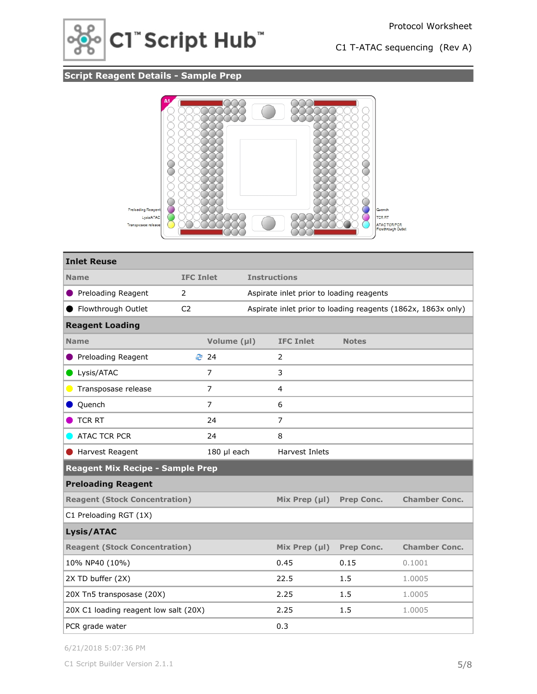

## **Script Reagent Details - Sample Prep**



| <b>Inlet Reuse</b>                      |                  |             |                     |                                          |                                                              |  |  |
|-----------------------------------------|------------------|-------------|---------------------|------------------------------------------|--------------------------------------------------------------|--|--|
| <b>Name</b>                             | <b>IFC Inlet</b> |             | <b>Instructions</b> |                                          |                                                              |  |  |
| <b>O</b> Preloading Reagent             | 2                |             |                     | Aspirate inlet prior to loading reagents |                                                              |  |  |
| ● Flowthrough Outlet                    | C <sub>2</sub>   |             |                     |                                          | Aspirate inlet prior to loading reagents (1862x, 1863x only) |  |  |
| <b>Reagent Loading</b>                  |                  |             |                     |                                          |                                                              |  |  |
| <b>Name</b>                             |                  | Volume (µl) | <b>IFC Inlet</b>    | <b>Notes</b>                             |                                                              |  |  |
| Preloading Reagent                      | ₹ 24             |             | 2                   |                                          |                                                              |  |  |
| Lysis/ATAC                              | $\overline{7}$   |             | 3                   |                                          |                                                              |  |  |
| Transposase release<br>$\bullet$        | 7                |             | $\overline{4}$      |                                          |                                                              |  |  |
| O Quench                                | $\overline{7}$   |             | 6                   |                                          |                                                              |  |  |
| $\bullet$ TCR RT                        | 24               |             | $\overline{7}$      |                                          |                                                              |  |  |
| ATAC TCR PCR                            | 24               |             | 8                   |                                          |                                                              |  |  |
| Harvest Reagent                         | 180 µl each      |             | Harvest Inlets      |                                          |                                                              |  |  |
| <b>Reagent Mix Recipe - Sample Prep</b> |                  |             |                     |                                          |                                                              |  |  |
| <b>Preloading Reagent</b>               |                  |             |                     |                                          |                                                              |  |  |
| <b>Reagent (Stock Concentration)</b>    |                  |             | Mix Prep $(\mu I)$  | <b>Prep Conc.</b>                        | <b>Chamber Conc.</b>                                         |  |  |
| C1 Preloading RGT (1X)                  |                  |             |                     |                                          |                                                              |  |  |
| Lysis/ATAC                              |                  |             |                     |                                          |                                                              |  |  |
| <b>Reagent (Stock Concentration)</b>    |                  |             | Mix Prep $(\mu I)$  | <b>Prep Conc.</b>                        | <b>Chamber Conc.</b>                                         |  |  |
| 10% NP40 (10%)                          |                  | 0.45        | 0.15                | 0.1001                                   |                                                              |  |  |
| 2X TD buffer (2X)                       |                  | 22.5        | 1.5<br>1.0005       |                                          |                                                              |  |  |
| 20X Tn5 transposase (20X)               |                  |             | 2.25                | 1.5                                      | 1.0005                                                       |  |  |
| 20X C1 loading reagent low salt (20X)   |                  |             | 2.25                | 1.5                                      | 1.0005                                                       |  |  |
| PCR grade water                         |                  |             | 0.3                 |                                          |                                                              |  |  |

6/21/2018 5:07:36 PM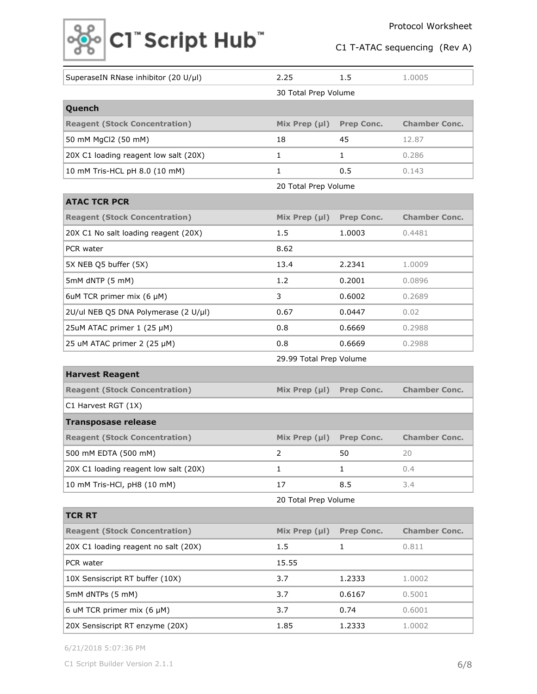#### Protocol Worksheet



C1 T-ATAC sequencing (Rev A)

| SuperaseIN RNase inhibitor (20 U/µl)  | 2.25                    | 1.5               | 1.0005               |
|---------------------------------------|-------------------------|-------------------|----------------------|
|                                       | 30 Total Prep Volume    |                   |                      |
| Quench                                |                         |                   |                      |
| <b>Reagent (Stock Concentration)</b>  | Mix Prep $(\mu I)$      | Prep Conc.        | <b>Chamber Conc.</b> |
| 50 mM MgCl2 (50 mM)                   | 18                      | 45                | 12.87                |
| 20X C1 loading reagent low salt (20X) | $\mathbf{1}$            | 1                 | 0.286                |
| 10 mM Tris-HCL pH 8.0 (10 mM)         | $\mathbf{1}$            | 0.5               | 0.143                |
|                                       | 20 Total Prep Volume    |                   |                      |
| <b>ATAC TCR PCR</b>                   |                         |                   |                      |
| <b>Reagent (Stock Concentration)</b>  | Mix Prep $(\mu I)$      | Prep Conc.        | <b>Chamber Conc.</b> |
| 20X C1 No salt loading reagent (20X)  | 1.5                     | 1.0003            | 0.4481               |
| PCR water                             | 8.62                    |                   |                      |
| 5X NEB Q5 buffer (5X)                 | 13.4                    | 2.2341            | 1.0009               |
| 5mM dNTP (5 mM)                       | 1.2                     | 0.2001            | 0.0896               |
| 6uM TCR primer mix (6 µM)             | 3                       | 0.6002            | 0.2689               |
| 2U/ul NEB Q5 DNA Polymerase (2 U/µl)  | 0.67                    | 0.0447            | 0.02                 |
| 25uM ATAC primer 1 (25 µM)            | 0.8                     | 0.6669            | 0.2988               |
| 25 uM ATAC primer 2 (25 µM)           | 0.8                     | 0.6669            | 0.2988               |
|                                       |                         |                   |                      |
|                                       | 29.99 Total Prep Volume |                   |                      |
| <b>Harvest Reagent</b>                |                         |                   |                      |
| <b>Reagent (Stock Concentration)</b>  | Mix Prep $(\mu I)$      | <b>Prep Conc.</b> | <b>Chamber Conc.</b> |
| C1 Harvest RGT (1X)                   |                         |                   |                      |
| <b>Transposase release</b>            |                         |                   |                      |
| <b>Reagent (Stock Concentration)</b>  | Mix Prep $(\mu I)$      | <b>Prep Conc.</b> | <b>Chamber Conc.</b> |
| 500 mM EDTA (500 mM)                  | 2                       | 50                | 20                   |
| 20X C1 loading reagent low salt (20X) | $1\,$                   | $\mathbf{1}$      | 0.4                  |
| 10 mM Tris-HCl, pH8 (10 mM)           | 17                      | 8.5               | 3.4                  |
|                                       | 20 Total Prep Volume    |                   |                      |
| <b>TCR RT</b>                         |                         |                   |                      |
| <b>Reagent (Stock Concentration)</b>  | Mix Prep $(\mu I)$      | <b>Prep Conc.</b> | <b>Chamber Conc.</b> |
| 20X C1 loading reagent no salt (20X)  | 1.5                     | 1                 | 0.811                |
| PCR water                             | 15.55                   |                   |                      |
| 10X Sensiscript RT buffer (10X)       | 3.7                     | 1.2333            | 1.0002               |
| 5mM dNTPs (5 mM)                      | 3.7                     | 0.6167            | 0.5001               |
| 6 uM TCR primer mix (6 µM)            | 3.7                     | 0.74              | 0.6001               |

6/21/2018 5:07:36 PM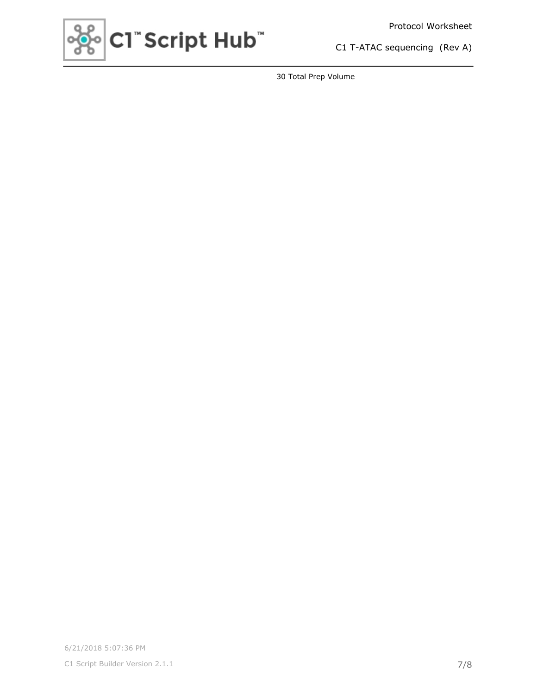Protocol Worksheet



C1 T-ATAC sequencing (Rev A)

30 Total Prep Volume